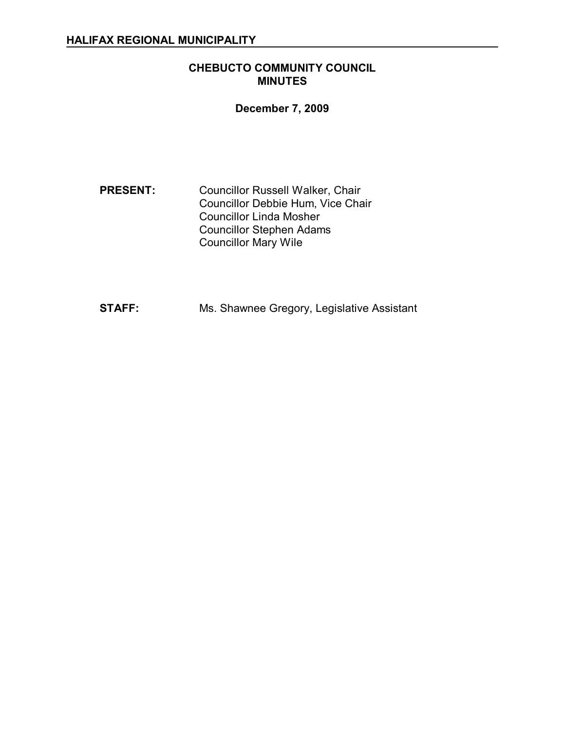# **CHEBUCTO COMMUNITY COUNCIL MINUTES**

# **December 7, 2009**

**PRESENT:** Councillor Russell Walker, Chair Councillor Debbie Hum, Vice Chair Councillor Linda Mosher Councillor Stephen Adams Councillor Mary Wile

**STAFF:** Ms. Shawnee Gregory, Legislative Assistant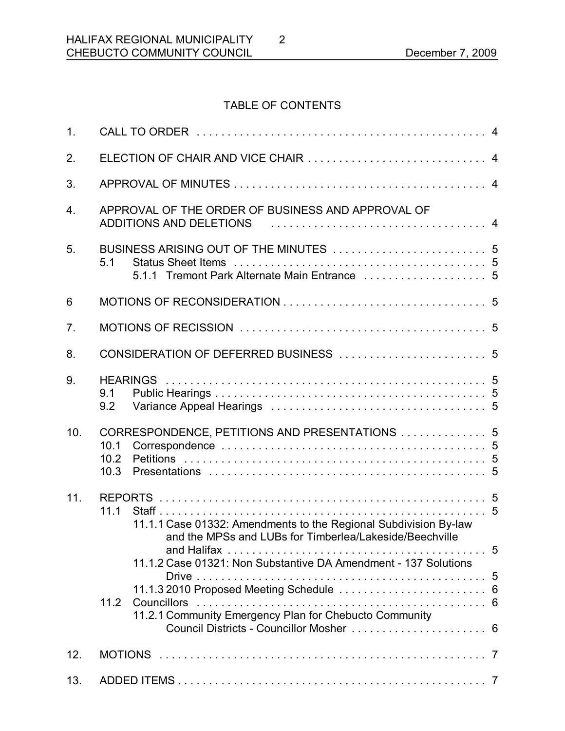# TABLE OF CONTENTS

2

| 1.               |                                                                                                                                     |
|------------------|-------------------------------------------------------------------------------------------------------------------------------------|
| 2.               | ELECTION OF CHAIR AND VICE CHAIR  4                                                                                                 |
| 3.               |                                                                                                                                     |
| $\overline{4}$ . | APPROVAL OF THE ORDER OF BUSINESS AND APPROVAL OF<br>ADDITIONS AND DELETIONS And the contract of the ADDITIONS AND DELETIONS        |
| 5.               | 5.1                                                                                                                                 |
| 6                |                                                                                                                                     |
| 7 <sub>1</sub>   |                                                                                                                                     |
| 8.               |                                                                                                                                     |
| 9.               | 9.1<br>9.2                                                                                                                          |
| 10.              | CORRESPONDENCE, PETITIONS AND PRESENTATIONS  5<br>10.1<br>10.2<br>10.3                                                              |
| 11.              | 11.1<br>11.1.1 Case 01332: Amendments to the Regional Subdivision By-law<br>and the MPSs and LUBs for Timberlea/Lakeside/Beechville |
|                  | 11.1.2 Case 01321: Non Substantive DA Amendment - 137 Solutions                                                                     |
|                  | 11.2<br>11.2.1 Community Emergency Plan for Chebucto Community<br>Council Districts - Councillor Mosher  6                          |
| 12.              |                                                                                                                                     |
| 13.              |                                                                                                                                     |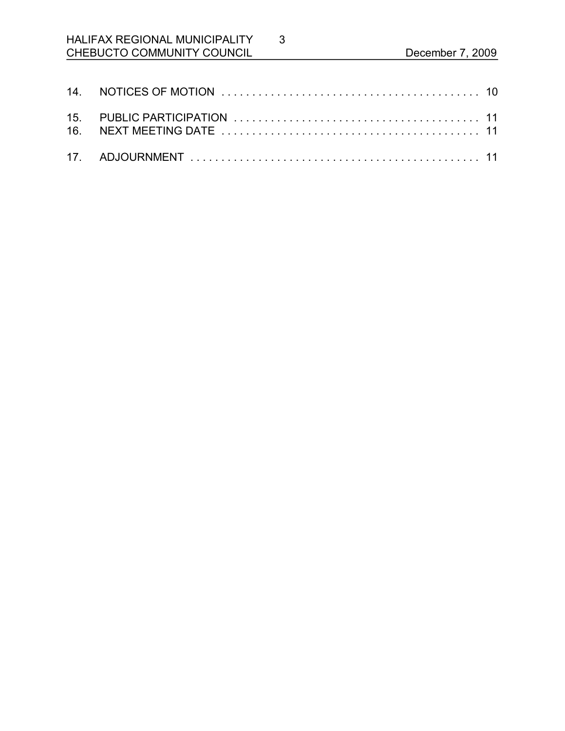# HALIFAX REGIONAL MUNICIPALITY CHEBUCTO COMMUNITY COUNCIL December 7, 2009

3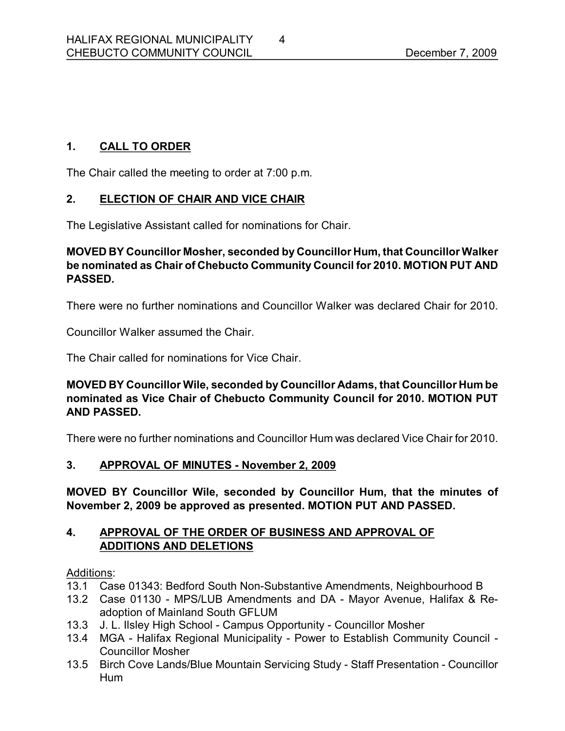# **1. CALL TO ORDER**

The Chair called the meeting to order at 7:00 p.m.

# **2. ELECTION OF CHAIR AND VICE CHAIR**

The Legislative Assistant called for nominations for Chair.

# **MOVED BY Councillor Mosher, seconded by Councillor Hum, that Councillor Walker be nominated as Chair of Chebucto Community Council for 2010. MOTION PUT AND PASSED.**

There were no further nominations and Councillor Walker was declared Chair for 2010.

Councillor Walker assumed the Chair.

The Chair called for nominations for Vice Chair.

# **MOVED BY Councillor Wile, seconded by Councillor Adams, that Councillor Hum be nominated as Vice Chair of Chebucto Community Council for 2010. MOTION PUT AND PASSED.**

There were no further nominations and Councillor Hum was declared Vice Chair for 2010.

# **3. APPROVAL OF MINUTES November 2, 2009**

**MOVED BY Councillor Wile, seconded by Councillor Hum, that the minutes of November 2, 2009 be approved as presented. MOTION PUT AND PASSED.** 

# **4. APPROVAL OF THE ORDER OF BUSINESS AND APPROVAL OF ADDITIONS AND DELETIONS**

#### Additions:

- 13.1 Case 01343: Bedford South Non-Substantive Amendments, Neighbourhood B
- 13.2 Case 01130 MPS/LUB Amendments and DA Mayor Avenue, Halifax & Readoption of Mainland South GFLUM
- 13.3 J. L. Ilsley High School Campus Opportunity Councillor Mosher
- 13.4 MGA Halifax Regional Municipality Power to Establish Community Council -Councillor Mosher
- 13.5 Birch Cove Lands/Blue Mountain Servicing Study Staff Presentation Councillor Hum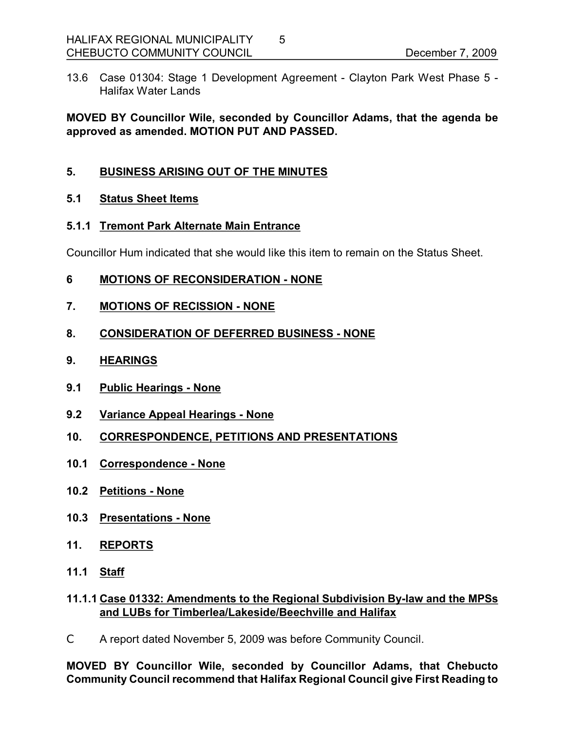13.6 Case 01304: Stage 1 Development Agreement - Clayton Park West Phase 5 -Halifax Water Lands

**MOVED BY Councillor Wile, seconded by Councillor Adams, that the agenda be approved as amended. MOTION PUT AND PASSED.** 

# **5. BUSINESS ARISING OUT OF THE MINUTES**

#### **5.1 Status Sheet Items**

#### **5.1.1 Tremont Park Alternate Main Entrance**

Councillor Hum indicated that she would like this item to remain on the Status Sheet.

#### **6 MOTIONS OF RECONSIDERATION NONE**

**7. MOTIONS OF RECISSION NONE**

#### **8. CONSIDERATION OF DEFERRED BUSINESS NONE**

- **9. HEARINGS**
- **9.1 Public Hearings None**
- **9.2 Variance Appeal Hearings None**
- **10. CORRESPONDENCE, PETITIONS AND PRESENTATIONS**
- **10.1 Correspondence None**
- **10.2 Petitions None**
- **10.3 Presentations None**
- **11. REPORTS**
- **11.1 Staff**

#### **11.1.1 Case 01332: Amendments to the Regional Subdivision Bylaw and the MPSs and LUBs for Timberlea/Lakeside/Beechville and Halifax**

C A report dated November 5, 2009 was before Community Council.

**MOVED BY Councillor Wile, seconded by Councillor Adams, that Chebucto Community Council recommend that Halifax Regional Council give First Reading to**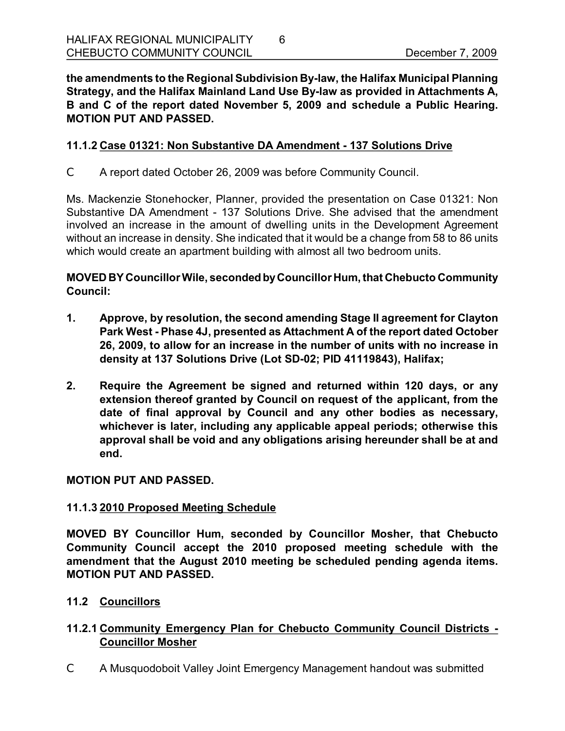**the amendments to the Regional Subdivision Bylaw, the Halifax Municipal Planning Strategy, and the Halifax Mainland Land Use Bylaw as provided in Attachments A, B and C of the report dated November 5, 2009 and schedule a Public Hearing. MOTION PUT AND PASSED.** 

#### **11.1.2 Case 01321: Non Substantive DA Amendment 137 Solutions Drive**

C A report dated October 26, 2009 was before Community Council.

Ms. Mackenzie Stonehocker, Planner, provided the presentation on Case 01321: Non Substantive DA Amendment - 137 Solutions Drive. She advised that the amendment involved an increase in the amount of dwelling units in the Development Agreement without an increase in density. She indicated that it would be a change from 58 to 86 units which would create an apartment building with almost all two bedroom units.

# **MOVED BY CouncillorWile, secondedbyCouncillor Hum, that Chebucto Community Council:**

- **1. Approve, by resolution, the second amending Stage II agreement for Clayton Park West Phase 4J, presented as Attachment A of the report dated October 26, 2009, to allow for an increase in the number of units with no increase in** density at 137 Solutions Drive (Lot SD-02; PID 41119843), Halifax;
- **2. Require the Agreement be signed and returned within 120 days, or any extension thereof granted by Council on request of the applicant, from the date of final approval by Council and any other bodies as necessary, whichever is later, including any applicable appeal periods; otherwise this approval shall be void and any obligations arising hereunder shall be at and end.**

#### **MOTION PUT AND PASSED.**

#### **11.1.3 2010 Proposed Meeting Schedule**

**MOVED BY Councillor Hum, seconded by Councillor Mosher, that Chebucto Community Council accept the 2010 proposed meeting schedule with the amendment that the August 2010 meeting be scheduled pending agenda items. MOTION PUT AND PASSED.** 

#### **11.2 Councillors**

# **11.2.1 Community Emergency Plan for Chebucto Community Council Districts Councillor Mosher**

C A Musquodoboit Valley Joint Emergency Management handout was submitted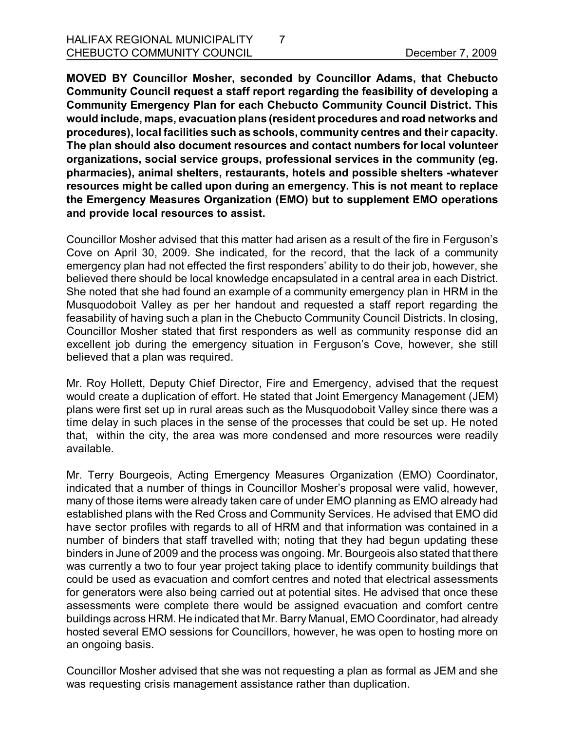**MOVED BY Councillor Mosher, seconded by Councillor Adams, that Chebucto Community Council request a staff report regarding the feasibility of developing a Community Emergency Plan for each Chebucto Community Council District. This would include, maps, evacuationplans (resident procedures and road networks and procedures), local facilities such as schools, community centres and their capacity. The plan should also document resources and contact numbers for local volunteer organizations, social service groups, professional services in the community (eg. pharmacies), animal shelters, restaurants, hotels and possible shelters whatever resources might be called upon during an emergency. This is not meant to replace the Emergency Measures Organization (EMO) but to supplement EMO operations and provide local resources to assist.**

7

Councillor Mosher advised that this matter had arisen as a result of the fire in Ferguson's Cove on April 30, 2009. She indicated, for the record, that the lack of a community emergency plan had not effected the first responders' ability to do their job, however, she believed there should be local knowledge encapsulated in a central area in each District. She noted that she had found an example of a community emergency plan in HRM in the Musquodoboit Valley as per her handout and requested a staff report regarding the feasability of having such a plan in the Chebucto Community Council Districts. In closing, Councillor Mosher stated that first responders as well as community response did an excellent job during the emergency situation in Ferguson's Cove, however, she still believed that a plan was required.

Mr. Roy Hollett, Deputy Chief Director, Fire and Emergency, advised that the request would create a duplication of effort. He stated that Joint Emergency Management (JEM) plans were first set up in rural areas such as the Musquodoboit Valley since there was a time delay in such places in the sense of the processes that could be set up. He noted that, within the city, the area was more condensed and more resources were readily available.

Mr. Terry Bourgeois, Acting Emergency Measures Organization (EMO) Coordinator, indicated that a number of things in Councillor Mosher's proposal were valid, however, many of those items were already taken care of under EMO planning as EMO already had established plans with the Red Cross and Community Services. He advised that EMO did have sector profiles with regards to all of HRM and that information was contained in a number of binders that staff travelled with; noting that they had begun updating these binders in June of 2009 and the process was ongoing. Mr. Bourgeois also stated that there was currently a two to four year project taking place to identify community buildings that could be used as evacuation and comfort centres and noted that electrical assessments for generators were also being carried out at potential sites. He advised that once these assessments were complete there would be assigned evacuation and comfort centre buildings across HRM. He indicated that Mr. Barry Manual, EMO Coordinator, had already hosted several EMO sessions for Councillors, however, he was open to hosting more on an ongoing basis.

Councillor Mosher advised that she was not requesting a plan as formal as JEM and she was requesting crisis management assistance rather than duplication.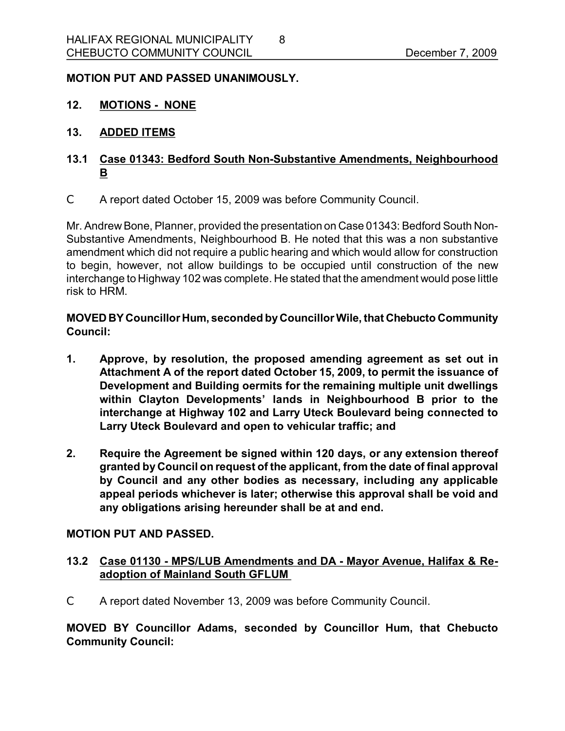#### **MOTION PUT AND PASSED UNANIMOUSLY.**

- **12. MOTIONS NONE**
- **13. ADDED ITEMS**

# **13.1 Case 01343: Bedford South Non-Substantive Amendments, Neighbourhood B**

C A report dated October 15, 2009 was before Community Council.

Mr. Andrew Bone, Planner, provided the presentation on Case 01343: Bedford South Non-Substantive Amendments, Neighbourhood B. He noted that this was a non substantive amendment which did not require a public hearing and which would allow for construction to begin, however, not allow buildings to be occupied until construction of the new interchange to Highway 102 was complete. He stated that the amendment would pose little risk to HRM.

**MOVED BY Councillor Hum, seconded byCouncillorWile, that Chebucto Community Council:**

- **1. Approve, by resolution, the proposed amending agreement as set out in Attachment A of the report dated October 15, 2009, to permit the issuance of Development and Building oermits for the remaining multiple unit dwellings within Clayton Developments' lands in Neighbourhood B prior to the interchange at Highway 102 and Larry Uteck Boulevard being connected to Larry Uteck Boulevard and open to vehicular traffic; and**
- **2. Require the Agreement be signed within 120 days, or any extension thereof granted by Council on request of the applicant, from the date of final approval by Council and any other bodies as necessary, including any applicable appeal periods whichever is later; otherwise this approval shall be void and any obligations arising hereunder shall be at and end.**

#### **MOTION PUT AND PASSED.**

- **13.2 Case 01130 MPS/LUB Amendments and DA Mayor Avenue, Halifax & Re adoption of Mainland South GFLUM**
- C A report dated November 13, 2009 was before Community Council.

**MOVED BY Councillor Adams, seconded by Councillor Hum, that Chebucto Community Council:**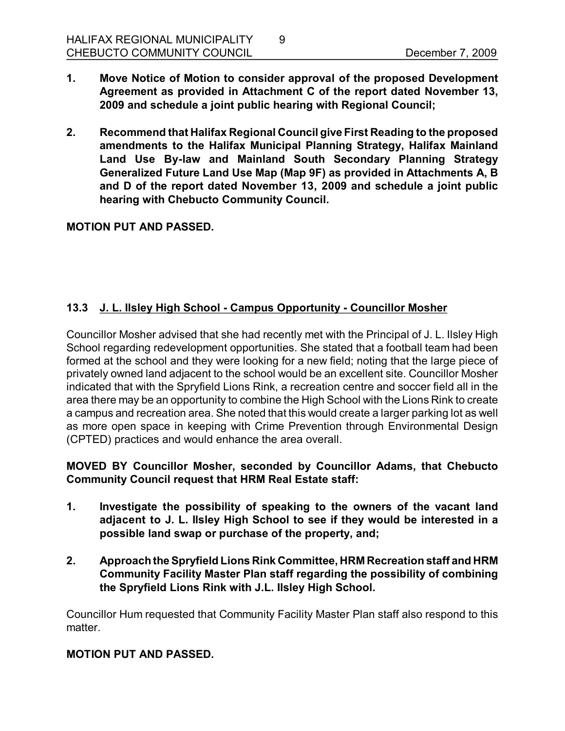**1. Move Notice of Motion to consider approval of the proposed Development Agreement as provided in Attachment C of the report dated November 13, 2009 and schedule a joint public hearing with Regional Council;**

9

**2. Recommend that Halifax Regional Council give First Reading to the proposed amendments to the Halifax Municipal Planning Strategy, Halifax Mainland Land Use Bylaw and Mainland South Secondary Planning Strategy Generalized Future Land Use Map (Map 9F) as provided in Attachments A, B and D of the report dated November 13, 2009 and schedule a joint public hearing with Chebucto Community Council.** 

#### **MOTION PUT AND PASSED.**

# **13.3 J. L. Ilsley High School Campus Opportunity Councillor Mosher**

Councillor Mosher advised that she had recently met with the Principal of J. L. Ilsley High School regarding redevelopment opportunities. She stated that a football team had been formed at the school and they were looking for a new field; noting that the large piece of privately owned land adjacent to the school would be an excellent site. Councillor Mosher indicated that with the Spryfield Lions Rink, a recreation centre and soccer field all in the area there may be an opportunity to combine the High School with the Lions Rink to create a campus and recreation area. She noted that this would create a larger parking lot as well as more open space in keeping with Crime Prevention through Environmental Design (CPTED) practices and would enhance the area overall.

#### **MOVED BY Councillor Mosher, seconded by Councillor Adams, that Chebucto Community Council request that HRM Real Estate staff:**

- **1. Investigate the possibility of speaking to the owners of the vacant land adjacent to J. L. Ilsley High School to see if they would be interested in a possible land swap or purchase of the property, and;**
- **2. Approachthe Spryfield Lions Rink Committee, HRM Recreation staff and HRM Community Facility Master Plan staff regarding the possibility of combining the Spryfield Lions Rink with J.L. Ilsley High School.**

Councillor Hum requested that Community Facility Master Plan staff also respond to this matter.

#### **MOTION PUT AND PASSED.**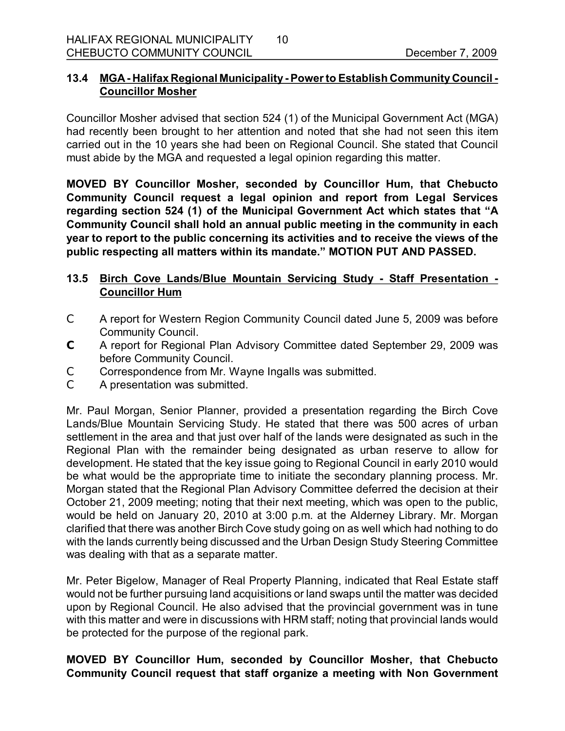#### **13.4 MGA Halifax Regional Municipality Power to Establish Community Council Councillor Mosher**

Councillor Mosher advised that section 524 (1) of the Municipal Government Act (MGA) had recently been brought to her attention and noted that she had not seen this item carried out in the 10 years she had been on Regional Council. She stated that Council must abide by the MGA and requested a legal opinion regarding this matter.

**MOVED BY Councillor Mosher, seconded by Councillor Hum, that Chebucto Community Council request a legal opinion and report from Legal Services regarding section 524 (1) of the Municipal Government Act which states that "A Community Council shall hold an annual public meeting in the community in each year to report to the public concerning its activities and to receive the views of the public respecting all matters within its mandate." MOTION PUT AND PASSED.** 

# **13.5 Birch Cove Lands/Blue Mountain Servicing Study Staff Presentation Councillor Hum**

- C A report for Western Region Community Council dated June 5, 2009 was before Community Council.
- **C** A report for Regional Plan Advisory Committee dated September 29, 2009 was before Community Council.
- C Correspondence from Mr. Wayne Ingalls was submitted.
- C A presentation was submitted.

Mr. Paul Morgan, Senior Planner, provided a presentation regarding the Birch Cove Lands/Blue Mountain Servicing Study. He stated that there was 500 acres of urban settlement in the area and that just over half of the lands were designated as such in the Regional Plan with the remainder being designated as urban reserve to allow for development. He stated that the key issue going to Regional Council in early 2010 would be what would be the appropriate time to initiate the secondary planning process. Mr. Morgan stated that the Regional Plan Advisory Committee deferred the decision at their October 21, 2009 meeting; noting that their next meeting, which was open to the public, would be held on January 20, 2010 at 3:00 p.m. at the Alderney Library. Mr. Morgan clarified that there was another Birch Cove study going on as well which had nothing to do with the lands currently being discussed and the Urban Design Study Steering Committee was dealing with that as a separate matter.

Mr. Peter Bigelow, Manager of Real Property Planning, indicated that Real Estate staff would not be further pursuing land acquisitions or land swaps until the matter was decided upon by Regional Council. He also advised that the provincial government was in tune with this matter and were in discussions with HRM staff; noting that provincial lands would be protected for the purpose of the regional park.

# **MOVED BY Councillor Hum, seconded by Councillor Mosher, that Chebucto Community Council request that staff organize a meeting with Non Government**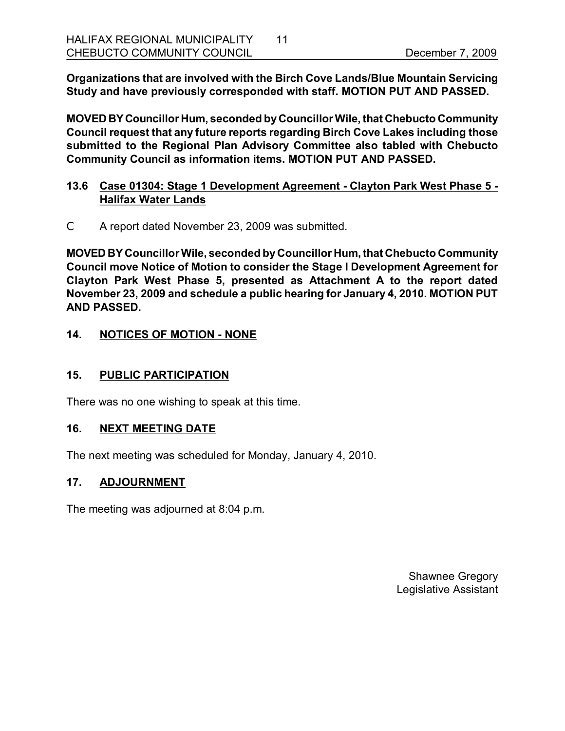**Organizations that are involved with the Birch Cove Lands/Blue Mountain Servicing Study and have previously corresponded with staff. MOTION PUT AND PASSED.** 

**MOVED BYCouncillor Hum, seconded byCouncillorWile, that Chebucto Community Council request that any future reports regarding Birch Cove Lakes including those submitted to the Regional Plan Advisory Committee also tabled with Chebucto Community Council as information items. MOTION PUT AND PASSED.** 

#### **13.6 Case 01304: Stage 1 Development Agreement Clayton Park West Phase 5 Halifax Water Lands**

C A report dated November 23, 2009 was submitted.

**MOVED BY CouncillorWile, seconded byCouncillor Hum, that Chebucto Community Council move Notice of Motion to consider the Stage I Development Agreement for Clayton Park West Phase 5, presented as Attachment A to the report dated November 23, 2009 and schedule a public hearing for January 4, 2010. MOTION PUT AND PASSED.** 

# **14. NOTICES OF MOTION - NONE**

#### **15. PUBLIC PARTICIPATION**

There was no one wishing to speak at this time.

#### **16. NEXT MEETING DATE**

The next meeting was scheduled for Monday, January 4, 2010.

#### **17. ADJOURNMENT**

The meeting was adjourned at 8:04 p.m.

Shawnee Gregory Legislative Assistant